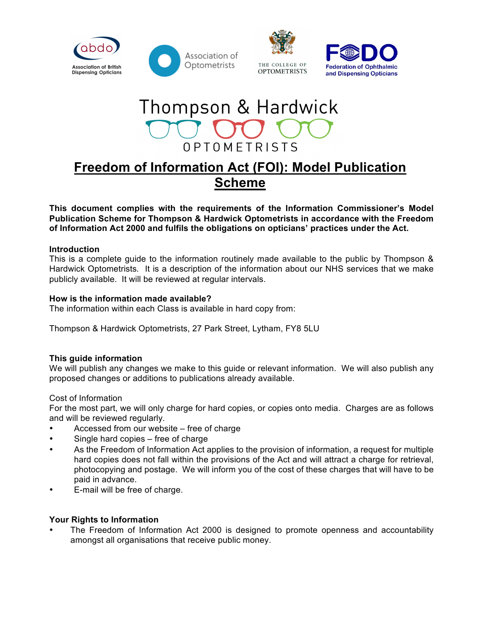







# **Freedom of Information Act (FOI): Model Publication Scheme**

**This document complies with the requirements of the Information Commissioner's Model Publication Scheme for Thompson & Hardwick Optometrists in accordance with the Freedom of Information Act 2000 and fulfils the obligations on opticians' practices under the Act.**

## **Introduction**

This is a complete guide to the information routinely made available to the public by Thompson & Hardwick Optometrists*.* It is a description of the information about our NHS services that we make publicly available. It will be reviewed at regular intervals.

#### **How is the information made available?**

The information within each Class is available in hard copy from:

Thompson & Hardwick Optometrists, 27 Park Street, Lytham, FY8 5LU

# **This guide information**

We will publish any changes we make to this guide or relevant information. We will also publish any proposed changes or additions to publications already available.

#### Cost of Information

For the most part, we will only charge for hard copies, or copies onto media. Charges are as follows and will be reviewed regularly.

- Accessed from our website free of charge
- Single hard copies free of charge
- As the Freedom of Information Act applies to the provision of information, a request for multiple hard copies does not fall within the provisions of the Act and will attract a charge for retrieval, photocopying and postage. We will inform you of the cost of these charges that will have to be paid in advance.
- E-mail will be free of charge.

#### **Your Rights to Information**

• The Freedom of Information Act 2000 is designed to promote openness and accountability amongst all organisations that receive public money.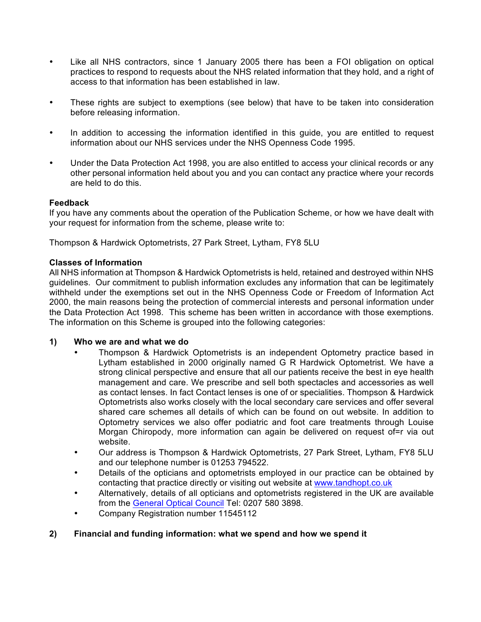- Like all NHS contractors, since 1 January 2005 there has been a FOI obligation on optical practices to respond to requests about the NHS related information that they hold, and a right of access to that information has been established in law.
- These rights are subject to exemptions (see below) that have to be taken into consideration before releasing information.
- In addition to accessing the information identified in this guide, you are entitled to request information about our NHS services under the NHS Openness Code 1995.
- Under the Data Protection Act 1998, you are also entitled to access your clinical records or any other personal information held about you and you can contact any practice where your records are held to do this.

## **Feedback**

If you have any comments about the operation of the Publication Scheme, or how we have dealt with your request for information from the scheme, please write to:

Thompson & Hardwick Optometrists, 27 Park Street, Lytham, FY8 5LU

## **Classes of Information**

All NHS information at Thompson & Hardwick Optometrists is held, retained and destroyed within NHS guidelines. Our commitment to publish information excludes any information that can be legitimately withheld under the exemptions set out in the NHS Openness Code or Freedom of Information Act 2000, the main reasons being the protection of commercial interests and personal information under the Data Protection Act 1998. This scheme has been written in accordance with those exemptions. The information on this Scheme is grouped into the following categories:

#### **1) Who we are and what we do**

- Thompson & Hardwick Optometrists is an independent Optometry practice based in Lytham established in 2000 originally named G R Hardwick Optometrist. We have a strong clinical perspective and ensure that all our patients receive the best in eye health management and care. We prescribe and sell both spectacles and accessories as well as contact lenses. In fact Contact lenses is one of or specialities. Thompson & Hardwick Optometrists also works closely with the local secondary care services and offer several shared care schemes all details of which can be found on out website. In addition to Optometry services we also offer podiatric and foot care treatments through Louise Morgan Chiropody, more information can again be delivered on request of=r via out website.
- Our address is Thompson & Hardwick Optometrists, 27 Park Street, Lytham, FY8 5LU and our telephone number is 01253 794522.
- Details of the opticians and optometrists employed in our practice can be obtained by contacting that practice directly or visiting out website at www.tandhopt.co.uk
- Alternatively, details of all opticians and optometrists registered in the UK are available from the General Optical Council Tel: 0207 580 3898.
- Company Registration number 11545112

# **2) Financial and funding information: what we spend and how we spend it**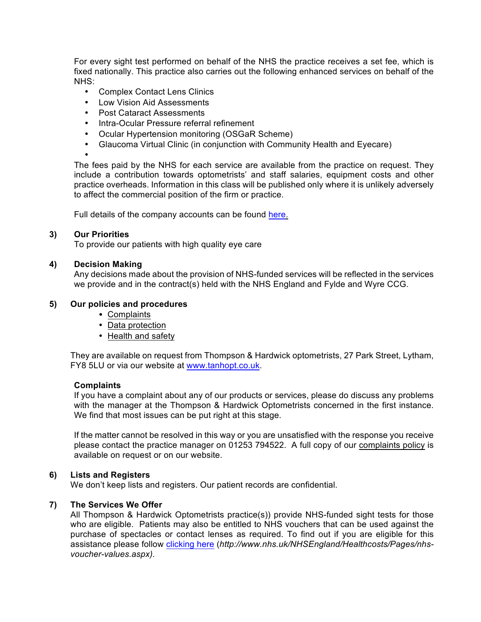For every sight test performed on behalf of the NHS the practice receives a set fee, which is fixed nationally. This practice also carries out the following enhanced services on behalf of the NHS:

- Complex Contact Lens Clinics
- Low Vision Aid Assessments
- Post Cataract Assessments
- Intra-Ocular Pressure referral refinement
- Ocular Hypertension monitoring (OSGaR Scheme)
- Glaucoma Virtual Clinic (in conjunction with Community Health and Eyecare)

•

The fees paid by the NHS for each service are available from the practice on request. They include a contribution towards optometrists' and staff salaries, equipment costs and other practice overheads. Information in this class will be published only where it is unlikely adversely to affect the commercial position of the firm or practice.

Full details of the company accounts can be found here.

#### **3) Our Priorities**

To provide our patients with high quality eye care

#### **4) Decision Making**

Any decisions made about the provision of NHS-funded services will be reflected in the services we provide and in the contract(s) held with the NHS England and Fylde and Wyre CCG.

#### **5) Our policies and procedures**

- •Complaints
- Data protection
- Health and safety

They are available on request from Thompson & Hardwick optometrists, 27 Park Street, Lytham, FY8 5LU or via our website at www.tanhopt.co.uk.

#### **Complaints**

If you have a complaint about any of our products or services, please do discuss any problems with the manager at the Thompson & Hardwick Optometrists concerned in the first instance. We find that most issues can be put right at this stage.

If the matter cannot be resolved in this way or you are unsatisfied with the response you receive please contact the practice manager on 01253 794522. A full copy of our complaints policy is available on request or on our website.

#### **6) Lists and Registers**

We don't keep lists and registers. Our patient records are confidential.

#### **7) The Services We Offer**

All Thompson & Hardwick Optometrists practice(s)) provide NHS-funded sight tests for those who are eligible. Patients may also be entitled to NHS vouchers that can be used against the purchase of spectacles or contact lenses as required. To find out if you are eligible for this assistance please follow clicking here (*http://www.nhs.uk/NHSEngland/Healthcosts/Pages/nhsvoucher-values.aspx).*